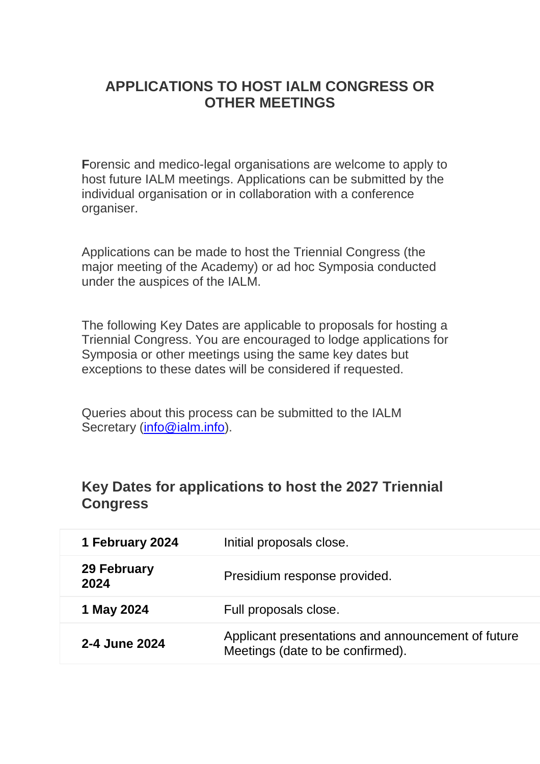# **APPLICATIONS TO HOST IALM CONGRESS OR OTHER MEETINGS**

**F**orensic and medico-legal organisations are welcome to apply to host future IALM meetings. Applications can be submitted by the individual organisation or in collaboration with a conference organiser.

Applications can be made to host the Triennial Congress (the major meeting of the Academy) or ad hoc Symposia conducted under the auspices of the IALM.

The following Key Dates are applicable to proposals for hosting a Triennial Congress. You are encouraged to lodge applications for Symposia or other meetings using the same key dates but exceptions to these dates will be considered if requested.

Queries about this process can be submitted to the IALM Secretary [\(info@ialm.info\)](mailto:info@ialm.info).

#### **Key Dates for applications to host the 2027 Triennial Congress**

| 1 February 2024     | Initial proposals close.                                                               |
|---------------------|----------------------------------------------------------------------------------------|
| 29 February<br>2024 | Presidium response provided.                                                           |
| 1 May 2024          | Full proposals close.                                                                  |
| 2-4 June 2024       | Applicant presentations and announcement of future<br>Meetings (date to be confirmed). |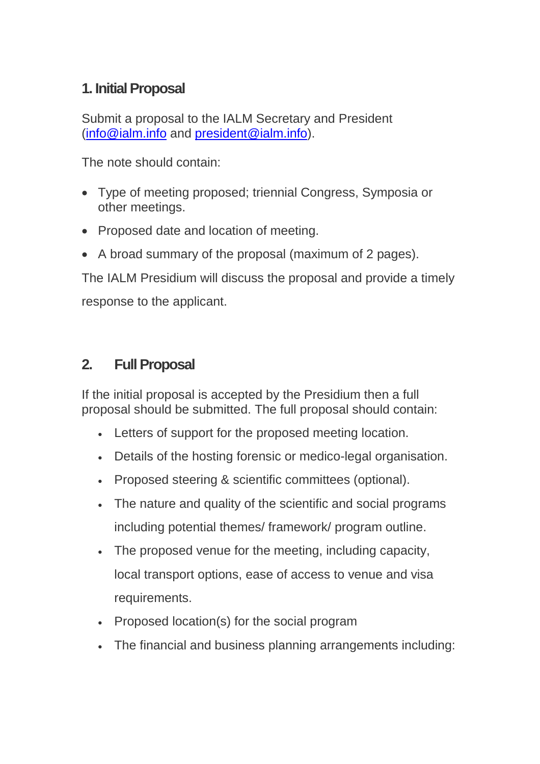# **1. Initial Proposal**

Submit a proposal to the IALM Secretary and President [\(info@ialm.info](mailto:info@ialm.info) and [president@ialm.info\)](mailto:president@ialm.info).

The note should contain:

- Type of meeting proposed; triennial Congress, Symposia or other meetings.
- Proposed date and location of meeting.
- A broad summary of the proposal (maximum of 2 pages).

The IALM Presidium will discuss the proposal and provide a timely response to the applicant.

## **2. Full Proposal**

If the initial proposal is accepted by the Presidium then a full proposal should be submitted. The full proposal should contain:

- Letters of support for the proposed meeting location.
- Details of the hosting forensic or medico-legal organisation.
- Proposed steering & scientific committees (optional).
- The nature and quality of the scientific and social programs including potential themes/ framework/ program outline.
- The proposed venue for the meeting, including capacity, local transport options, ease of access to venue and visa requirements.
- Proposed location(s) for the social program
- The financial and business planning arrangements including: